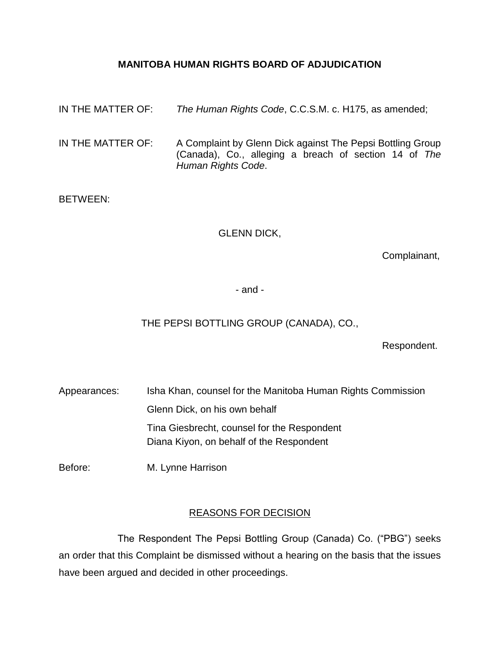# **MANITOBA HUMAN RIGHTS BOARD OF ADJUDICATION**

| IN THE MATTER OF: | The Human Rights Code, C.C.S.M. c. H175, as amended;                                                                                      |
|-------------------|-------------------------------------------------------------------------------------------------------------------------------------------|
| IN THE MATTER OF: | A Complaint by Glenn Dick against The Pepsi Bottling Group<br>(Canada), Co., alleging a breach of section 14 of The<br>Human Rights Code. |

# BETWEEN:

# GLENN DICK,

Complainant,

- and -

# THE PEPSI BOTTLING GROUP (CANADA), CO.,

Respondent.

Appearances: Isha Khan, counsel for the Manitoba Human Rights Commission Glenn Dick, on his own behalf Tina Giesbrecht, counsel for the Respondent Diana Kiyon, on behalf of the Respondent

Before: M. Lynne Harrison

## REASONS FOR DECISION

The Respondent The Pepsi Bottling Group (Canada) Co. ("PBG") seeks an order that this Complaint be dismissed without a hearing on the basis that the issues have been argued and decided in other proceedings.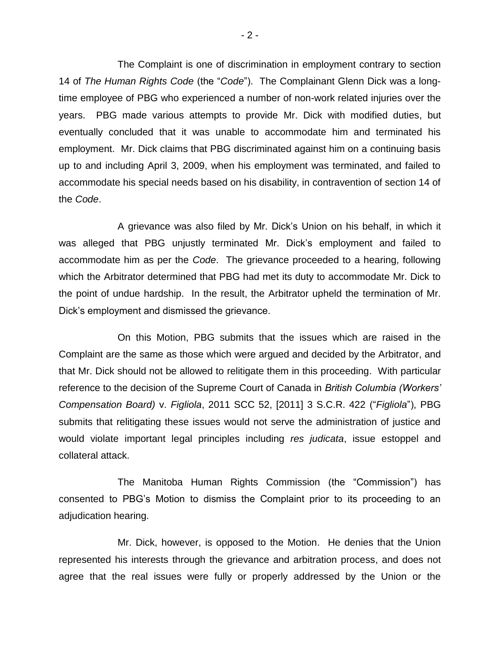The Complaint is one of discrimination in employment contrary to section 14 of *The Human Rights Code* (the "*Code*"). The Complainant Glenn Dick was a longtime employee of PBG who experienced a number of non-work related injuries over the years. PBG made various attempts to provide Mr. Dick with modified duties, but eventually concluded that it was unable to accommodate him and terminated his employment. Mr. Dick claims that PBG discriminated against him on a continuing basis up to and including April 3, 2009, when his employment was terminated, and failed to accommodate his special needs based on his disability, in contravention of section 14 of the *Code*.

A grievance was also filed by Mr. Dick's Union on his behalf, in which it was alleged that PBG unjustly terminated Mr. Dick's employment and failed to accommodate him as per the *Code*. The grievance proceeded to a hearing, following which the Arbitrator determined that PBG had met its duty to accommodate Mr. Dick to the point of undue hardship. In the result, the Arbitrator upheld the termination of Mr. Dick's employment and dismissed the grievance.

On this Motion, PBG submits that the issues which are raised in the Complaint are the same as those which were argued and decided by the Arbitrator, and that Mr. Dick should not be allowed to relitigate them in this proceeding. With particular reference to the decision of the Supreme Court of Canada in *British Columbia (Workers' Compensation Board)* v. *Figliola*, 2011 SCC 52, [2011] 3 S.C.R. 422 ("*Figliola*"), PBG submits that relitigating these issues would not serve the administration of justice and would violate important legal principles including *res judicata*, issue estoppel and collateral attack.

The Manitoba Human Rights Commission (the "Commission") has consented to PBG's Motion to dismiss the Complaint prior to its proceeding to an adjudication hearing.

Mr. Dick, however, is opposed to the Motion. He denies that the Union represented his interests through the grievance and arbitration process, and does not agree that the real issues were fully or properly addressed by the Union or the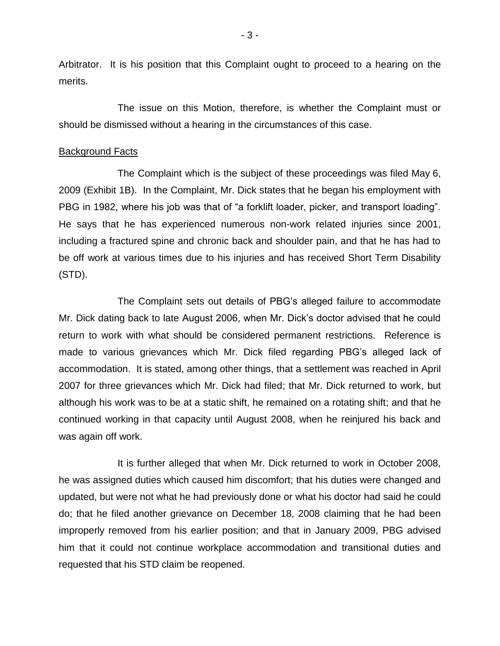Arbitrator. It is his position that this Complaint ought to proceed to a hearing on the merits.

The issue on this Motion, therefore, is whether the Complaint must or should be dismissed without a hearing in the circumstances of this case.

### Background Facts

The Complaint which is the subject of these proceedings was filed May 6, 2009 (Exhibit 1B). In the Complaint, Mr. Dick states that he began his employment with PBG in 1982, where his job was that of "a forklift loader, picker, and transport loading". He says that he has experienced numerous non-work related injuries since 2001, including a fractured spine and chronic back and shoulder pain, and that he has had to be off work at various times due to his injuries and has received Short Term Disability (STD).

The Complaint sets out details of PBG's alleged failure to accommodate Mr. Dick dating back to late August 2006, when Mr. Dick's doctor advised that he could return to work with what should be considered permanent restrictions. Reference is made to various grievances which Mr. Dick filed regarding PBG's alleged lack of accommodation. It is stated, among other things, that a settlement was reached in April 2007 for three grievances which Mr. Dick had filed; that Mr. Dick returned to work, but although his work was to be at a static shift, he remained on a rotating shift; and that he continued working in that capacity until August 2008, when he reinjured his back and was again off work.

It is further alleged that when Mr. Dick returned to work in October 2008, he was assigned duties which caused him discomfort; that his duties were changed and updated, but were not what he had previously done or what his doctor had said he could do; that he filed another grievance on December 18, 2008 claiming that he had been improperly removed from his earlier position; and that in January 2009, PBG advised him that it could not continue workplace accommodation and transitional duties and requested that his STD claim be reopened.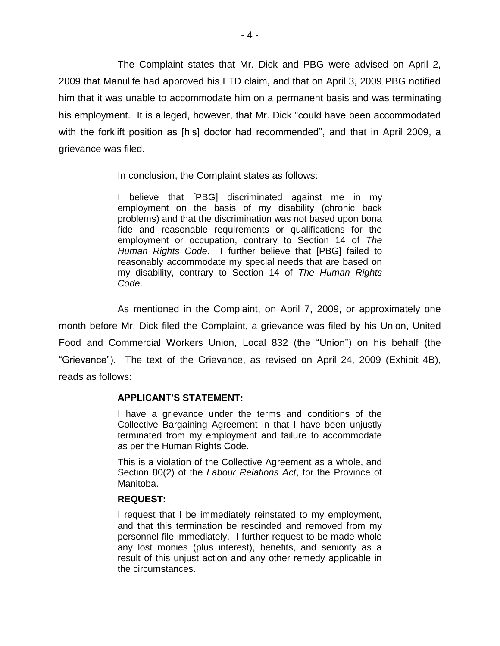The Complaint states that Mr. Dick and PBG were advised on April 2, 2009 that Manulife had approved his LTD claim, and that on April 3, 2009 PBG notified him that it was unable to accommodate him on a permanent basis and was terminating his employment. It is alleged, however, that Mr. Dick "could have been accommodated with the forklift position as [his] doctor had recommended", and that in April 2009, a grievance was filed.

In conclusion, the Complaint states as follows:

I believe that [PBG] discriminated against me in my employment on the basis of my disability (chronic back problems) and that the discrimination was not based upon bona fide and reasonable requirements or qualifications for the employment or occupation, contrary to Section 14 of *The Human Rights Code*. I further believe that [PBG] failed to reasonably accommodate my special needs that are based on my disability, contrary to Section 14 of *The Human Rights Code*.

As mentioned in the Complaint, on April 7, 2009, or approximately one month before Mr. Dick filed the Complaint, a grievance was filed by his Union, United Food and Commercial Workers Union, Local 832 (the "Union") on his behalf (the "Grievance"). The text of the Grievance, as revised on April 24, 2009 (Exhibit 4B), reads as follows:

## **APPLICANT'S STATEMENT:**

I have a grievance under the terms and conditions of the Collective Bargaining Agreement in that I have been unjustly terminated from my employment and failure to accommodate as per the Human Rights Code.

This is a violation of the Collective Agreement as a whole, and Section 80(2) of the *Labour Relations Act*, for the Province of Manitoba.

#### **REQUEST:**

I request that I be immediately reinstated to my employment, and that this termination be rescinded and removed from my personnel file immediately. I further request to be made whole any lost monies (plus interest), benefits, and seniority as a result of this unjust action and any other remedy applicable in the circumstances.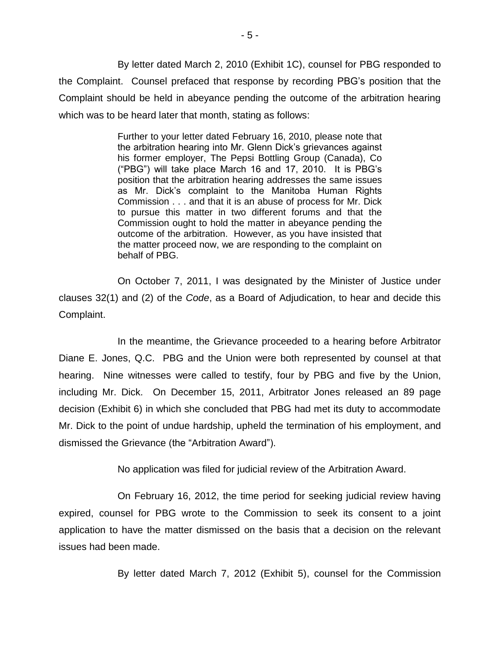By letter dated March 2, 2010 (Exhibit 1C), counsel for PBG responded to the Complaint. Counsel prefaced that response by recording PBG's position that the Complaint should be held in abeyance pending the outcome of the arbitration hearing which was to be heard later that month, stating as follows:

> Further to your letter dated February 16, 2010, please note that the arbitration hearing into Mr. Glenn Dick's grievances against his former employer, The Pepsi Bottling Group (Canada), Co ("PBG") will take place March 16 and 17, 2010. It is PBG's position that the arbitration hearing addresses the same issues as Mr. Dick's complaint to the Manitoba Human Rights Commission . . . and that it is an abuse of process for Mr. Dick to pursue this matter in two different forums and that the Commission ought to hold the matter in abeyance pending the outcome of the arbitration. However, as you have insisted that the matter proceed now, we are responding to the complaint on behalf of PBG.

On October 7, 2011, I was designated by the Minister of Justice under clauses 32(1) and (2) of the *Code*, as a Board of Adjudication, to hear and decide this Complaint.

In the meantime, the Grievance proceeded to a hearing before Arbitrator Diane E. Jones, Q.C. PBG and the Union were both represented by counsel at that hearing. Nine witnesses were called to testify, four by PBG and five by the Union, including Mr. Dick. On December 15, 2011, Arbitrator Jones released an 89 page decision (Exhibit 6) in which she concluded that PBG had met its duty to accommodate Mr. Dick to the point of undue hardship, upheld the termination of his employment, and dismissed the Grievance (the "Arbitration Award").

No application was filed for judicial review of the Arbitration Award.

On February 16, 2012, the time period for seeking judicial review having expired, counsel for PBG wrote to the Commission to seek its consent to a joint application to have the matter dismissed on the basis that a decision on the relevant issues had been made.

By letter dated March 7, 2012 (Exhibit 5), counsel for the Commission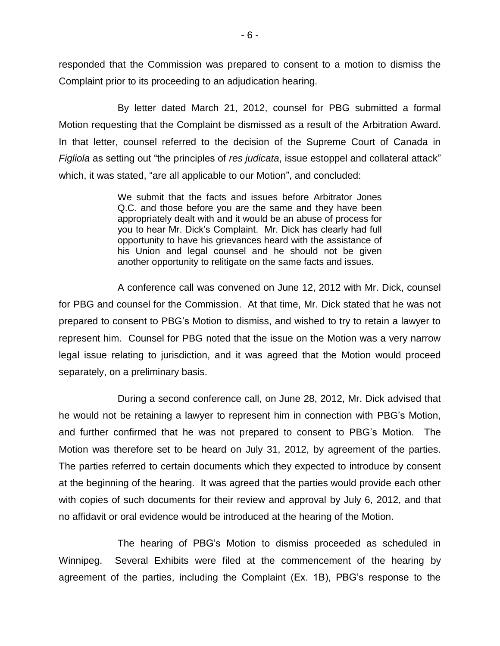responded that the Commission was prepared to consent to a motion to dismiss the Complaint prior to its proceeding to an adjudication hearing.

By letter dated March 21, 2012, counsel for PBG submitted a formal Motion requesting that the Complaint be dismissed as a result of the Arbitration Award. In that letter, counsel referred to the decision of the Supreme Court of Canada in *Figliola* as setting out "the principles of *res judicata*, issue estoppel and collateral attack" which, it was stated, "are all applicable to our Motion", and concluded:

> We submit that the facts and issues before Arbitrator Jones Q.C. and those before you are the same and they have been appropriately dealt with and it would be an abuse of process for you to hear Mr. Dick's Complaint. Mr. Dick has clearly had full opportunity to have his grievances heard with the assistance of his Union and legal counsel and he should not be given another opportunity to relitigate on the same facts and issues.

A conference call was convened on June 12, 2012 with Mr. Dick, counsel for PBG and counsel for the Commission. At that time, Mr. Dick stated that he was not prepared to consent to PBG's Motion to dismiss, and wished to try to retain a lawyer to represent him. Counsel for PBG noted that the issue on the Motion was a very narrow legal issue relating to jurisdiction, and it was agreed that the Motion would proceed separately, on a preliminary basis.

During a second conference call, on June 28, 2012, Mr. Dick advised that he would not be retaining a lawyer to represent him in connection with PBG's Motion, and further confirmed that he was not prepared to consent to PBG's Motion. The Motion was therefore set to be heard on July 31, 2012, by agreement of the parties. The parties referred to certain documents which they expected to introduce by consent at the beginning of the hearing. It was agreed that the parties would provide each other with copies of such documents for their review and approval by July 6, 2012, and that no affidavit or oral evidence would be introduced at the hearing of the Motion.

The hearing of PBG's Motion to dismiss proceeded as scheduled in Winnipeg. Several Exhibits were filed at the commencement of the hearing by agreement of the parties, including the Complaint (Ex. 1B), PBG's response to the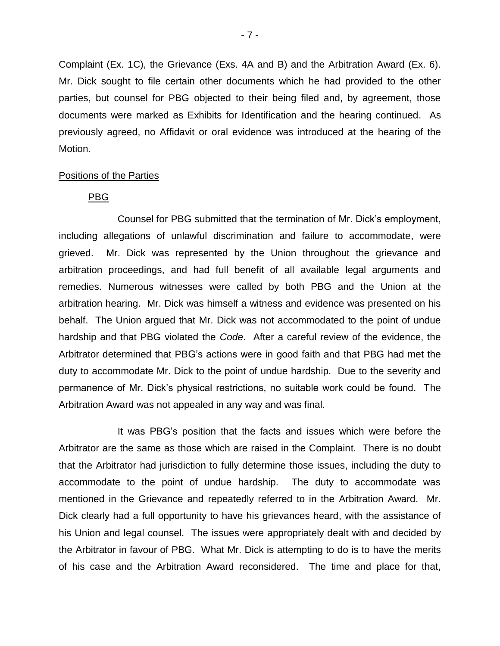Complaint (Ex. 1C), the Grievance (Exs. 4A and B) and the Arbitration Award (Ex. 6). Mr. Dick sought to file certain other documents which he had provided to the other parties, but counsel for PBG objected to their being filed and, by agreement, those documents were marked as Exhibits for Identification and the hearing continued. As previously agreed, no Affidavit or oral evidence was introduced at the hearing of the Motion.

#### Positions of the Parties

## PBG

Counsel for PBG submitted that the termination of Mr. Dick's employment, including allegations of unlawful discrimination and failure to accommodate, were grieved. Mr. Dick was represented by the Union throughout the grievance and arbitration proceedings, and had full benefit of all available legal arguments and remedies. Numerous witnesses were called by both PBG and the Union at the arbitration hearing. Mr. Dick was himself a witness and evidence was presented on his behalf. The Union argued that Mr. Dick was not accommodated to the point of undue hardship and that PBG violated the *Code*. After a careful review of the evidence, the Arbitrator determined that PBG's actions were in good faith and that PBG had met the duty to accommodate Mr. Dick to the point of undue hardship. Due to the severity and permanence of Mr. Dick's physical restrictions, no suitable work could be found. The Arbitration Award was not appealed in any way and was final.

It was PBG's position that the facts and issues which were before the Arbitrator are the same as those which are raised in the Complaint. There is no doubt that the Arbitrator had jurisdiction to fully determine those issues, including the duty to accommodate to the point of undue hardship. The duty to accommodate was mentioned in the Grievance and repeatedly referred to in the Arbitration Award. Mr. Dick clearly had a full opportunity to have his grievances heard, with the assistance of his Union and legal counsel. The issues were appropriately dealt with and decided by the Arbitrator in favour of PBG. What Mr. Dick is attempting to do is to have the merits of his case and the Arbitration Award reconsidered. The time and place for that,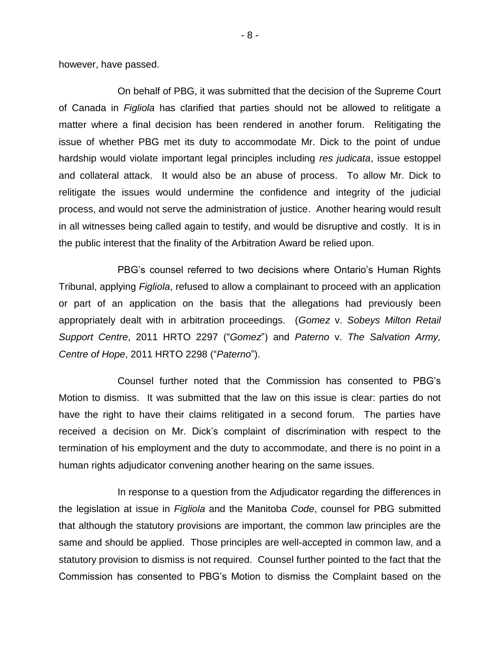however, have passed.

On behalf of PBG, it was submitted that the decision of the Supreme Court of Canada in *Figliola* has clarified that parties should not be allowed to relitigate a matter where a final decision has been rendered in another forum. Relitigating the issue of whether PBG met its duty to accommodate Mr. Dick to the point of undue hardship would violate important legal principles including *res judicata*, issue estoppel and collateral attack. It would also be an abuse of process. To allow Mr. Dick to relitigate the issues would undermine the confidence and integrity of the judicial process, and would not serve the administration of justice. Another hearing would result in all witnesses being called again to testify, and would be disruptive and costly. It is in the public interest that the finality of the Arbitration Award be relied upon.

PBG's counsel referred to two decisions where Ontario's Human Rights Tribunal, applying *Figliola*, refused to allow a complainant to proceed with an application or part of an application on the basis that the allegations had previously been appropriately dealt with in arbitration proceedings. (*Gomez* v. *Sobeys Milton Retail Support Centre*, 2011 HRTO 2297 ("*Gomez*") and *Paterno* v. *The Salvation Army, Centre of Hope*, 2011 HRTO 2298 ("*Paterno*").

Counsel further noted that the Commission has consented to PBG's Motion to dismiss. It was submitted that the law on this issue is clear: parties do not have the right to have their claims relitigated in a second forum. The parties have received a decision on Mr. Dick's complaint of discrimination with respect to the termination of his employment and the duty to accommodate, and there is no point in a human rights adjudicator convening another hearing on the same issues.

In response to a question from the Adjudicator regarding the differences in the legislation at issue in *Figliola* and the Manitoba *Code*, counsel for PBG submitted that although the statutory provisions are important, the common law principles are the same and should be applied. Those principles are well-accepted in common law, and a statutory provision to dismiss is not required. Counsel further pointed to the fact that the Commission has consented to PBG's Motion to dismiss the Complaint based on the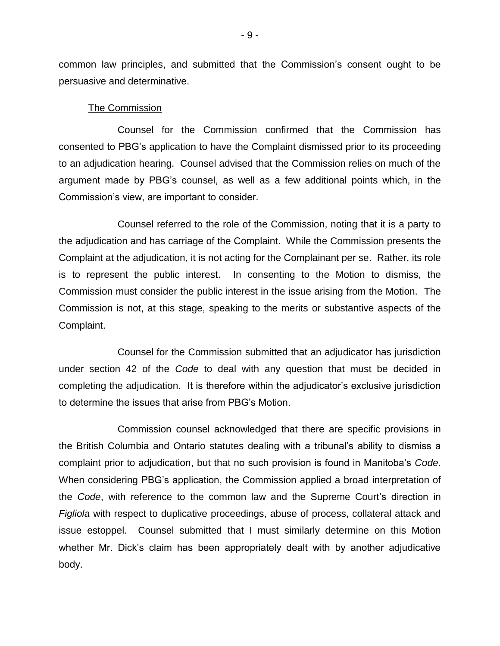common law principles, and submitted that the Commission's consent ought to be persuasive and determinative.

#### The Commission

Counsel for the Commission confirmed that the Commission has consented to PBG's application to have the Complaint dismissed prior to its proceeding to an adjudication hearing. Counsel advised that the Commission relies on much of the argument made by PBG's counsel, as well as a few additional points which, in the Commission's view, are important to consider.

Counsel referred to the role of the Commission, noting that it is a party to the adjudication and has carriage of the Complaint. While the Commission presents the Complaint at the adjudication, it is not acting for the Complainant per se. Rather, its role is to represent the public interest. In consenting to the Motion to dismiss, the Commission must consider the public interest in the issue arising from the Motion. The Commission is not, at this stage, speaking to the merits or substantive aspects of the Complaint.

Counsel for the Commission submitted that an adjudicator has jurisdiction under section 42 of the *Code* to deal with any question that must be decided in completing the adjudication. It is therefore within the adjudicator's exclusive jurisdiction to determine the issues that arise from PBG's Motion.

Commission counsel acknowledged that there are specific provisions in the British Columbia and Ontario statutes dealing with a tribunal's ability to dismiss a complaint prior to adjudication, but that no such provision is found in Manitoba's *Code*. When considering PBG's application, the Commission applied a broad interpretation of the *Code*, with reference to the common law and the Supreme Court's direction in *Figliola* with respect to duplicative proceedings, abuse of process, collateral attack and issue estoppel. Counsel submitted that I must similarly determine on this Motion whether Mr. Dick's claim has been appropriately dealt with by another adjudicative body.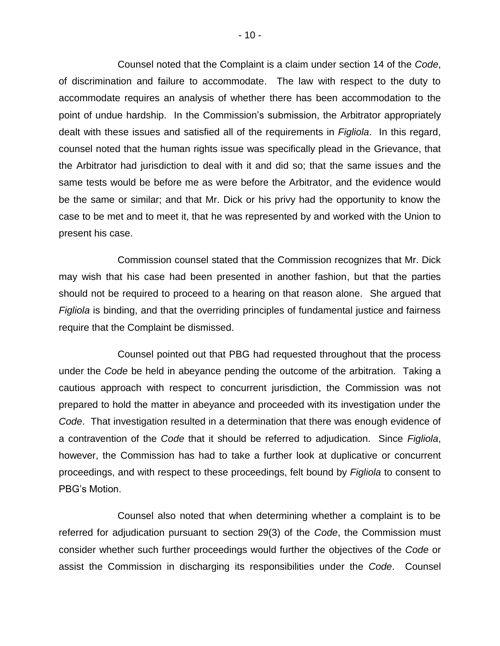Counsel noted that the Complaint is a claim under section 14 of the *Code*, of discrimination and failure to accommodate. The law with respect to the duty to accommodate requires an analysis of whether there has been accommodation to the point of undue hardship. In the Commission's submission, the Arbitrator appropriately dealt with these issues and satisfied all of the requirements in *Figliola*. In this regard, counsel noted that the human rights issue was specifically plead in the Grievance, that the Arbitrator had jurisdiction to deal with it and did so; that the same issues and the same tests would be before me as were before the Arbitrator, and the evidence would be the same or similar; and that Mr. Dick or his privy had the opportunity to know the case to be met and to meet it, that he was represented by and worked with the Union to present his case.

Commission counsel stated that the Commission recognizes that Mr. Dick may wish that his case had been presented in another fashion, but that the parties should not be required to proceed to a hearing on that reason alone. She argued that *Figliola* is binding, and that the overriding principles of fundamental justice and fairness require that the Complaint be dismissed.

Counsel pointed out that PBG had requested throughout that the process under the *Code* be held in abeyance pending the outcome of the arbitration. Taking a cautious approach with respect to concurrent jurisdiction, the Commission was not prepared to hold the matter in abeyance and proceeded with its investigation under the *Code*. That investigation resulted in a determination that there was enough evidence of a contravention of the *Code* that it should be referred to adjudication. Since *Figliola*, however, the Commission has had to take a further look at duplicative or concurrent proceedings, and with respect to these proceedings, felt bound by *Figliola* to consent to PBG's Motion.

Counsel also noted that when determining whether a complaint is to be referred for adjudication pursuant to section 29(3) of the *Code*, the Commission must consider whether such further proceedings would further the objectives of the *Code* or assist the Commission in discharging its responsibilities under the *Code*. Counsel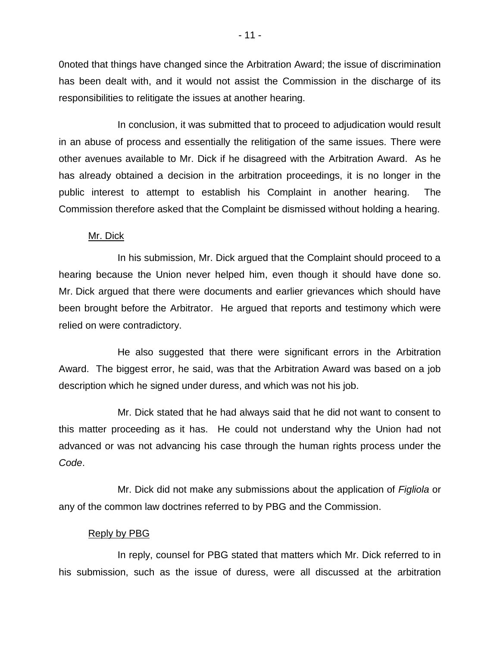0noted that things have changed since the Arbitration Award; the issue of discrimination has been dealt with, and it would not assist the Commission in the discharge of its responsibilities to relitigate the issues at another hearing.

In conclusion, it was submitted that to proceed to adjudication would result in an abuse of process and essentially the relitigation of the same issues. There were other avenues available to Mr. Dick if he disagreed with the Arbitration Award. As he has already obtained a decision in the arbitration proceedings, it is no longer in the public interest to attempt to establish his Complaint in another hearing. The Commission therefore asked that the Complaint be dismissed without holding a hearing.

#### Mr. Dick

In his submission, Mr. Dick argued that the Complaint should proceed to a hearing because the Union never helped him, even though it should have done so. Mr. Dick argued that there were documents and earlier grievances which should have been brought before the Arbitrator. He argued that reports and testimony which were relied on were contradictory.

He also suggested that there were significant errors in the Arbitration Award. The biggest error, he said, was that the Arbitration Award was based on a job description which he signed under duress, and which was not his job.

Mr. Dick stated that he had always said that he did not want to consent to this matter proceeding as it has. He could not understand why the Union had not advanced or was not advancing his case through the human rights process under the *Code*.

Mr. Dick did not make any submissions about the application of *Figliola* or any of the common law doctrines referred to by PBG and the Commission.

#### Reply by PBG

In reply, counsel for PBG stated that matters which Mr. Dick referred to in his submission, such as the issue of duress, were all discussed at the arbitration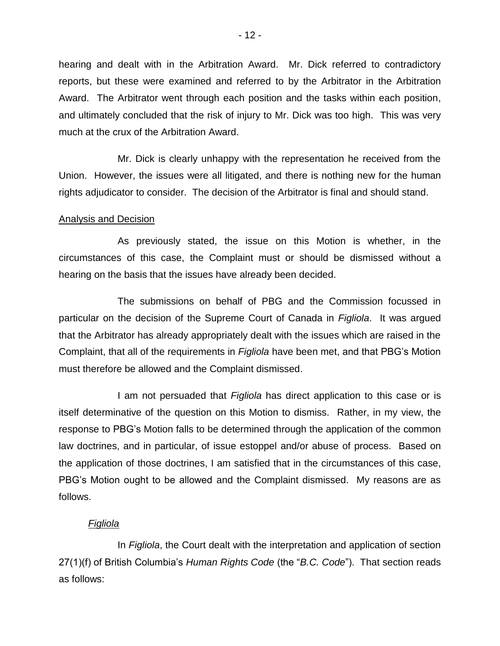hearing and dealt with in the Arbitration Award. Mr. Dick referred to contradictory reports, but these were examined and referred to by the Arbitrator in the Arbitration Award. The Arbitrator went through each position and the tasks within each position, and ultimately concluded that the risk of injury to Mr. Dick was too high. This was very much at the crux of the Arbitration Award.

Mr. Dick is clearly unhappy with the representation he received from the Union. However, the issues were all litigated, and there is nothing new for the human rights adjudicator to consider. The decision of the Arbitrator is final and should stand.

## Analysis and Decision

As previously stated, the issue on this Motion is whether, in the circumstances of this case, the Complaint must or should be dismissed without a hearing on the basis that the issues have already been decided.

The submissions on behalf of PBG and the Commission focussed in particular on the decision of the Supreme Court of Canada in *Figliola*. It was argued that the Arbitrator has already appropriately dealt with the issues which are raised in the Complaint, that all of the requirements in *Figliola* have been met, and that PBG's Motion must therefore be allowed and the Complaint dismissed.

I am not persuaded that *Figliola* has direct application to this case or is itself determinative of the question on this Motion to dismiss. Rather, in my view, the response to PBG's Motion falls to be determined through the application of the common law doctrines, and in particular, of issue estoppel and/or abuse of process. Based on the application of those doctrines, I am satisfied that in the circumstances of this case, PBG's Motion ought to be allowed and the Complaint dismissed. My reasons are as follows.

## *Figliola*

In *Figliola*, the Court dealt with the interpretation and application of section 27(1)(f) of British Columbia's *Human Rights Code* (the "*B.C. Code*"). That section reads as follows: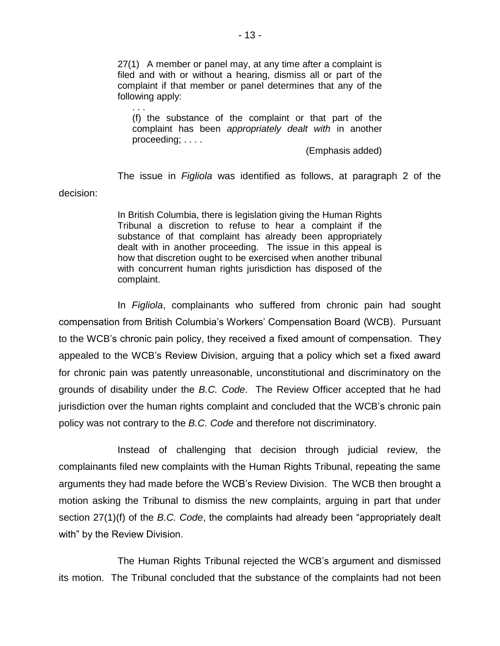27(1) A member or panel may, at any time after a complaint is filed and with or without a hearing, dismiss all or part of the complaint if that member or panel determines that any of the following apply:

. . .

(f) the substance of the complaint or that part of the complaint has been *appropriately dealt with* in another proceeding; . . . .

(Emphasis added)

The issue in *Figliola* was identified as follows, at paragraph 2 of the decision:

> In British Columbia, there is legislation giving the Human Rights Tribunal a discretion to refuse to hear a complaint if the substance of that complaint has already been appropriately dealt with in another proceeding. The issue in this appeal is how that discretion ought to be exercised when another tribunal with concurrent human rights jurisdiction has disposed of the complaint.

In *Figliola*, complainants who suffered from chronic pain had sought compensation from British Columbia's Workers' Compensation Board (WCB). Pursuant to the WCB's chronic pain policy, they received a fixed amount of compensation. They appealed to the WCB's Review Division, arguing that a policy which set a fixed award for chronic pain was patently unreasonable, unconstitutional and discriminatory on the grounds of disability under the *B.C. Code*. The Review Officer accepted that he had jurisdiction over the human rights complaint and concluded that the WCB's chronic pain policy was not contrary to the *B.C. Code* and therefore not discriminatory.

Instead of challenging that decision through judicial review, the complainants filed new complaints with the Human Rights Tribunal, repeating the same arguments they had made before the WCB's Review Division. The WCB then brought a motion asking the Tribunal to dismiss the new complaints, arguing in part that under section 27(1)(f) of the *B.C. Code*, the complaints had already been "appropriately dealt with" by the Review Division.

The Human Rights Tribunal rejected the WCB's argument and dismissed its motion. The Tribunal concluded that the substance of the complaints had not been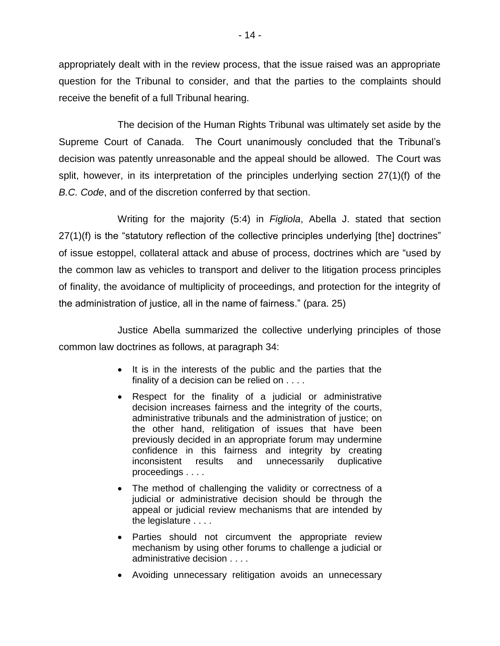appropriately dealt with in the review process, that the issue raised was an appropriate question for the Tribunal to consider, and that the parties to the complaints should receive the benefit of a full Tribunal hearing.

The decision of the Human Rights Tribunal was ultimately set aside by the Supreme Court of Canada. The Court unanimously concluded that the Tribunal's decision was patently unreasonable and the appeal should be allowed. The Court was split, however, in its interpretation of the principles underlying section 27(1)(f) of the *B.C. Code*, and of the discretion conferred by that section.

Writing for the majority (5:4) in *Figliola*, Abella J. stated that section 27(1)(f) is the "statutory reflection of the collective principles underlying [the] doctrines" of issue estoppel, collateral attack and abuse of process, doctrines which are "used by the common law as vehicles to transport and deliver to the litigation process principles of finality, the avoidance of multiplicity of proceedings, and protection for the integrity of the administration of justice, all in the name of fairness." (para. 25)

Justice Abella summarized the collective underlying principles of those common law doctrines as follows, at paragraph 34:

- It is in the interests of the public and the parties that the finality of a decision can be relied on . . . .
- Respect for the finality of a judicial or administrative decision increases fairness and the integrity of the courts, administrative tribunals and the administration of justice; on the other hand, relitigation of issues that have been previously decided in an appropriate forum may undermine confidence in this fairness and integrity by creating inconsistent results and unnecessarily duplicative proceedings . . . .
- The method of challenging the validity or correctness of a judicial or administrative decision should be through the appeal or judicial review mechanisms that are intended by the legislature . . . .
- Parties should not circumvent the appropriate review mechanism by using other forums to challenge a judicial or administrative decision . . . .
- Avoiding unnecessary relitigation avoids an unnecessary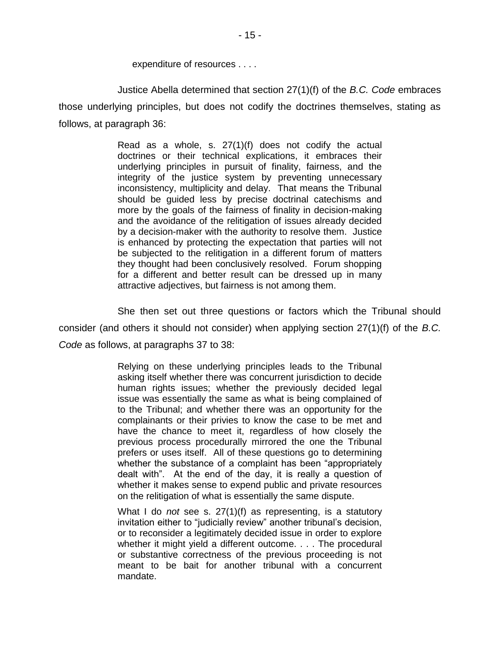expenditure of resources . . . .

Justice Abella determined that section 27(1)(f) of the *B.C. Code* embraces those underlying principles, but does not codify the doctrines themselves, stating as follows, at paragraph 36:

> Read as a whole, s. 27(1)(f) does not codify the actual doctrines or their technical explications, it embraces their underlying principles in pursuit of finality, fairness, and the integrity of the justice system by preventing unnecessary inconsistency, multiplicity and delay. That means the Tribunal should be guided less by precise doctrinal catechisms and more by the goals of the fairness of finality in decision-making and the avoidance of the relitigation of issues already decided by a decision-maker with the authority to resolve them. Justice is enhanced by protecting the expectation that parties will not be subjected to the relitigation in a different forum of matters they thought had been conclusively resolved. Forum shopping for a different and better result can be dressed up in many attractive adjectives, but fairness is not among them.

She then set out three questions or factors which the Tribunal should consider (and others it should not consider) when applying section 27(1)(f) of the *B.C. Code* as follows, at paragraphs 37 to 38:

> Relying on these underlying principles leads to the Tribunal asking itself whether there was concurrent jurisdiction to decide human rights issues; whether the previously decided legal issue was essentially the same as what is being complained of to the Tribunal; and whether there was an opportunity for the complainants or their privies to know the case to be met and have the chance to meet it, regardless of how closely the previous process procedurally mirrored the one the Tribunal prefers or uses itself. All of these questions go to determining whether the substance of a complaint has been "appropriately dealt with". At the end of the day, it is really a question of whether it makes sense to expend public and private resources on the relitigation of what is essentially the same dispute.

> What I do *not* see s. 27(1)(f) as representing, is a statutory invitation either to "judicially review" another tribunal's decision, or to reconsider a legitimately decided issue in order to explore whether it might yield a different outcome. . . . The procedural or substantive correctness of the previous proceeding is not meant to be bait for another tribunal with a concurrent mandate.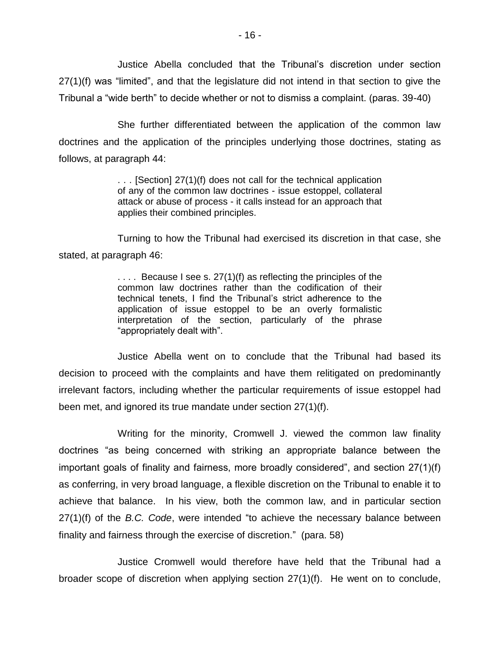Justice Abella concluded that the Tribunal's discretion under section 27(1)(f) was "limited", and that the legislature did not intend in that section to give the Tribunal a "wide berth" to decide whether or not to dismiss a complaint. (paras. 39-40)

She further differentiated between the application of the common law doctrines and the application of the principles underlying those doctrines, stating as follows, at paragraph 44:

> . . . [Section] 27(1)(f) does not call for the technical application of any of the common law doctrines - issue estoppel, collateral attack or abuse of process - it calls instead for an approach that applies their combined principles.

Turning to how the Tribunal had exercised its discretion in that case, she stated, at paragraph 46:

> $\ldots$  Because I see s. 27(1)(f) as reflecting the principles of the common law doctrines rather than the codification of their technical tenets, I find the Tribunal's strict adherence to the application of issue estoppel to be an overly formalistic interpretation of the section, particularly of the phrase "appropriately dealt with".

Justice Abella went on to conclude that the Tribunal had based its decision to proceed with the complaints and have them relitigated on predominantly irrelevant factors, including whether the particular requirements of issue estoppel had been met, and ignored its true mandate under section 27(1)(f).

Writing for the minority, Cromwell J. viewed the common law finality doctrines "as being concerned with striking an appropriate balance between the important goals of finality and fairness, more broadly considered", and section 27(1)(f) as conferring, in very broad language, a flexible discretion on the Tribunal to enable it to achieve that balance. In his view, both the common law, and in particular section 27(1)(f) of the *B.C. Code*, were intended "to achieve the necessary balance between finality and fairness through the exercise of discretion." (para. 58)

Justice Cromwell would therefore have held that the Tribunal had a broader scope of discretion when applying section 27(1)(f). He went on to conclude,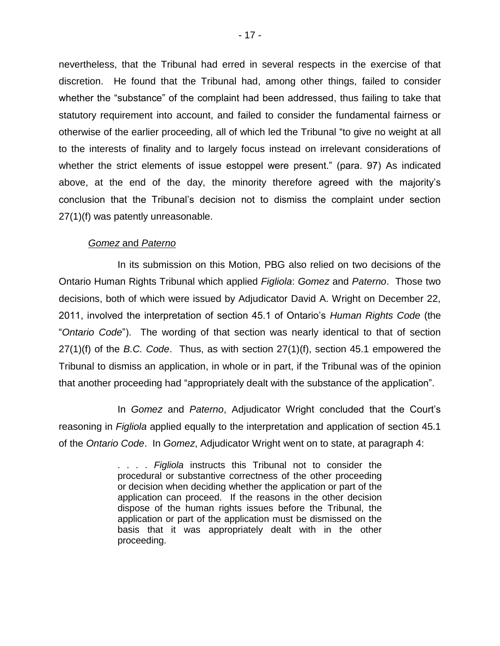nevertheless, that the Tribunal had erred in several respects in the exercise of that discretion. He found that the Tribunal had, among other things, failed to consider whether the "substance" of the complaint had been addressed, thus failing to take that statutory requirement into account, and failed to consider the fundamental fairness or otherwise of the earlier proceeding, all of which led the Tribunal "to give no weight at all to the interests of finality and to largely focus instead on irrelevant considerations of whether the strict elements of issue estoppel were present." (para. 97) As indicated above, at the end of the day, the minority therefore agreed with the majority's conclusion that the Tribunal's decision not to dismiss the complaint under section 27(1)(f) was patently unreasonable.

#### *Gomez* and *Paterno*

In its submission on this Motion, PBG also relied on two decisions of the Ontario Human Rights Tribunal which applied *Figliola*: *Gomez* and *Paterno*. Those two decisions, both of which were issued by Adjudicator David A. Wright on December 22, 2011, involved the interpretation of section 45.1 of Ontario's *Human Rights Code* (the "*Ontario Code*"). The wording of that section was nearly identical to that of section 27(1)(f) of the *B.C. Code*. Thus, as with section 27(1)(f), section 45.1 empowered the Tribunal to dismiss an application, in whole or in part, if the Tribunal was of the opinion that another proceeding had "appropriately dealt with the substance of the application".

In *Gomez* and *Paterno*, Adjudicator Wright concluded that the Court's reasoning in *Figliola* applied equally to the interpretation and application of section 45.1 of the *Ontario Code*. In *Gomez*, Adjudicator Wright went on to state, at paragraph 4:

> . . . . *Figliola* instructs this Tribunal not to consider the procedural or substantive correctness of the other proceeding or decision when deciding whether the application or part of the application can proceed. If the reasons in the other decision dispose of the human rights issues before the Tribunal, the application or part of the application must be dismissed on the basis that it was appropriately dealt with in the other proceeding.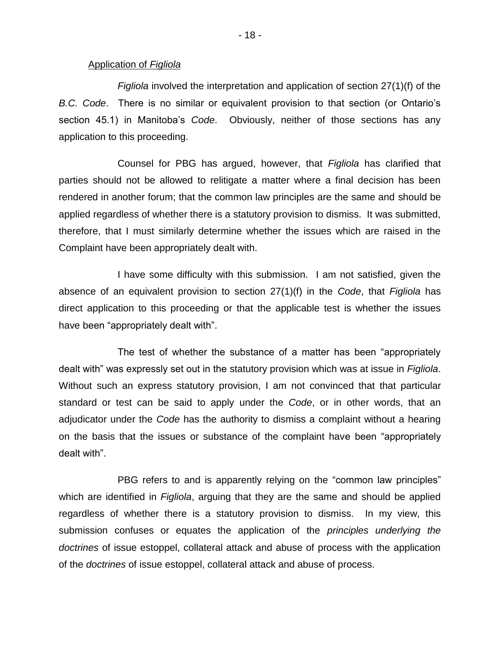#### Application of *Figliola*

*Figliola* involved the interpretation and application of section 27(1)(f) of the *B.C. Code*. There is no similar or equivalent provision to that section (or Ontario's section 45.1) in Manitoba's *Code*. Obviously, neither of those sections has any application to this proceeding.

Counsel for PBG has argued, however, that *Figliola* has clarified that parties should not be allowed to relitigate a matter where a final decision has been rendered in another forum; that the common law principles are the same and should be applied regardless of whether there is a statutory provision to dismiss. It was submitted, therefore, that I must similarly determine whether the issues which are raised in the Complaint have been appropriately dealt with.

I have some difficulty with this submission. I am not satisfied, given the absence of an equivalent provision to section 27(1)(f) in the *Code*, that *Figliola* has direct application to this proceeding or that the applicable test is whether the issues have been "appropriately dealt with".

The test of whether the substance of a matter has been "appropriately dealt with" was expressly set out in the statutory provision which was at issue in *Figliola*. Without such an express statutory provision, I am not convinced that that particular standard or test can be said to apply under the *Code*, or in other words, that an adjudicator under the *Code* has the authority to dismiss a complaint without a hearing on the basis that the issues or substance of the complaint have been "appropriately dealt with".

PBG refers to and is apparently relying on the "common law principles" which are identified in *Figliola*, arguing that they are the same and should be applied regardless of whether there is a statutory provision to dismiss. In my view, this submission confuses or equates the application of the *principles underlying the doctrines* of issue estoppel, collateral attack and abuse of process with the application of the *doctrines* of issue estoppel, collateral attack and abuse of process.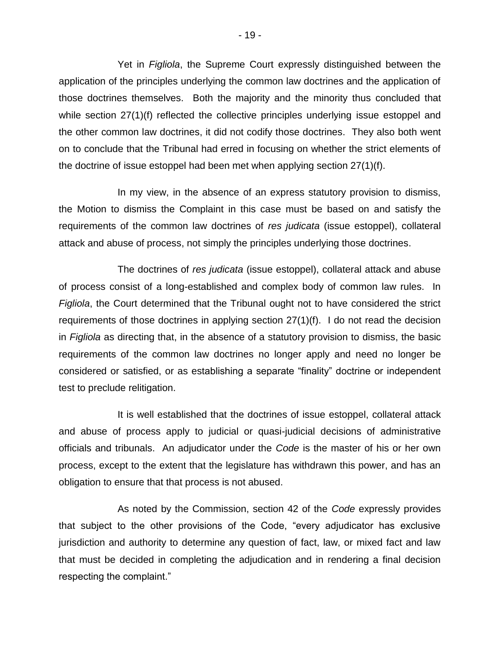Yet in *Figliola*, the Supreme Court expressly distinguished between the application of the principles underlying the common law doctrines and the application of those doctrines themselves. Both the majority and the minority thus concluded that while section 27(1)(f) reflected the collective principles underlying issue estoppel and the other common law doctrines, it did not codify those doctrines. They also both went on to conclude that the Tribunal had erred in focusing on whether the strict elements of the doctrine of issue estoppel had been met when applying section 27(1)(f).

In my view, in the absence of an express statutory provision to dismiss, the Motion to dismiss the Complaint in this case must be based on and satisfy the requirements of the common law doctrines of *res judicata* (issue estoppel), collateral attack and abuse of process, not simply the principles underlying those doctrines.

The doctrines of *res judicata* (issue estoppel), collateral attack and abuse of process consist of a long-established and complex body of common law rules. In *Figliola*, the Court determined that the Tribunal ought not to have considered the strict requirements of those doctrines in applying section 27(1)(f). I do not read the decision in *Figliola* as directing that, in the absence of a statutory provision to dismiss, the basic requirements of the common law doctrines no longer apply and need no longer be considered or satisfied, or as establishing a separate "finality" doctrine or independent test to preclude relitigation.

It is well established that the doctrines of issue estoppel, collateral attack and abuse of process apply to judicial or quasi-judicial decisions of administrative officials and tribunals. An adjudicator under the *Code* is the master of his or her own process, except to the extent that the legislature has withdrawn this power, and has an obligation to ensure that that process is not abused.

As noted by the Commission, section 42 of the *Code* expressly provides that subject to the other provisions of the Code, "every adjudicator has exclusive jurisdiction and authority to determine any question of fact, law, or mixed fact and law that must be decided in completing the adjudication and in rendering a final decision respecting the complaint."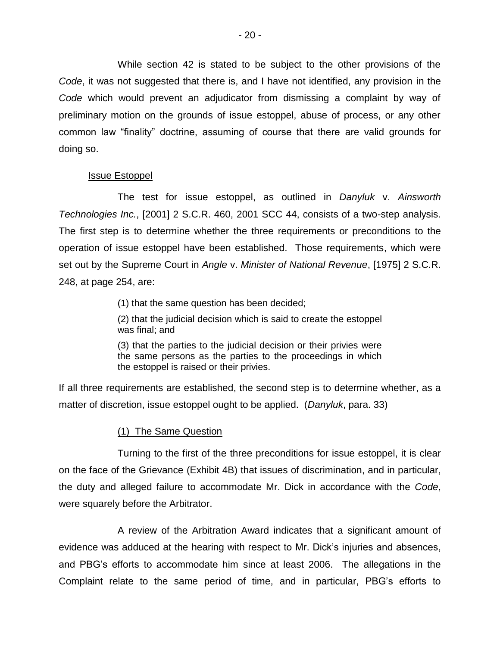While section 42 is stated to be subject to the other provisions of the *Code*, it was not suggested that there is, and I have not identified, any provision in the *Code* which would prevent an adjudicator from dismissing a complaint by way of preliminary motion on the grounds of issue estoppel, abuse of process, or any other common law "finality" doctrine, assuming of course that there are valid grounds for doing so.

## Issue Estoppel

The test for issue estoppel, as outlined in *Danyluk* v. *Ainsworth Technologies Inc.*, [2001] 2 S.C.R. 460, 2001 SCC 44, consists of a two-step analysis. The first step is to determine whether the three requirements or preconditions to the operation of issue estoppel have been established. Those requirements, which were set out by the Supreme Court in *Angle* v. *Minister of National Revenue*, [1975] 2 S.C.R. 248, at page 254, are:

(1) that the same question has been decided;

(2) that the judicial decision which is said to create the estoppel was final; and

(3) that the parties to the judicial decision or their privies were the same persons as the parties to the proceedings in which the estoppel is raised or their privies.

If all three requirements are established, the second step is to determine whether, as a matter of discretion, issue estoppel ought to be applied. (*Danyluk*, para. 33)

## (1) The Same Question

Turning to the first of the three preconditions for issue estoppel, it is clear on the face of the Grievance (Exhibit 4B) that issues of discrimination, and in particular, the duty and alleged failure to accommodate Mr. Dick in accordance with the *Code*, were squarely before the Arbitrator.

A review of the Arbitration Award indicates that a significant amount of evidence was adduced at the hearing with respect to Mr. Dick's injuries and absences, and PBG's efforts to accommodate him since at least 2006. The allegations in the Complaint relate to the same period of time, and in particular, PBG's efforts to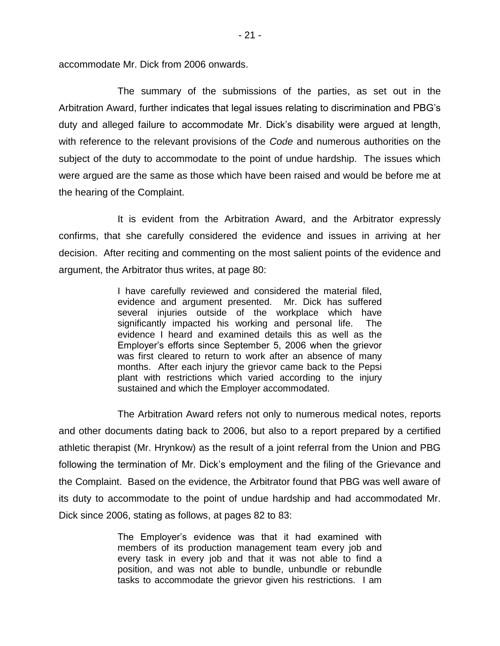accommodate Mr. Dick from 2006 onwards.

The summary of the submissions of the parties, as set out in the Arbitration Award, further indicates that legal issues relating to discrimination and PBG's duty and alleged failure to accommodate Mr. Dick's disability were argued at length, with reference to the relevant provisions of the *Code* and numerous authorities on the subject of the duty to accommodate to the point of undue hardship. The issues which were argued are the same as those which have been raised and would be before me at the hearing of the Complaint.

It is evident from the Arbitration Award, and the Arbitrator expressly confirms, that she carefully considered the evidence and issues in arriving at her decision. After reciting and commenting on the most salient points of the evidence and argument, the Arbitrator thus writes, at page 80:

> I have carefully reviewed and considered the material filed, evidence and argument presented. Mr. Dick has suffered several injuries outside of the workplace which have significantly impacted his working and personal life. The evidence I heard and examined details this as well as the Employer's efforts since September 5, 2006 when the grievor was first cleared to return to work after an absence of many months. After each injury the grievor came back to the Pepsi plant with restrictions which varied according to the injury sustained and which the Employer accommodated.

The Arbitration Award refers not only to numerous medical notes, reports and other documents dating back to 2006, but also to a report prepared by a certified athletic therapist (Mr. Hrynkow) as the result of a joint referral from the Union and PBG following the termination of Mr. Dick's employment and the filing of the Grievance and the Complaint. Based on the evidence, the Arbitrator found that PBG was well aware of its duty to accommodate to the point of undue hardship and had accommodated Mr. Dick since 2006, stating as follows, at pages 82 to 83:

> The Employer's evidence was that it had examined with members of its production management team every job and every task in every job and that it was not able to find a position, and was not able to bundle, unbundle or rebundle tasks to accommodate the grievor given his restrictions. I am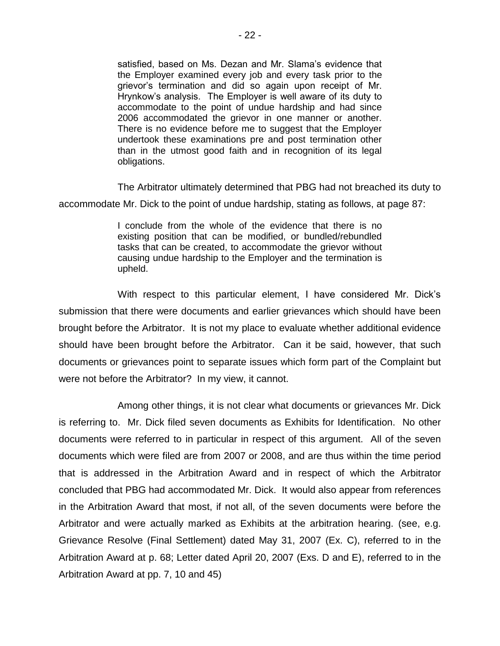satisfied, based on Ms. Dezan and Mr. Slama's evidence that the Employer examined every job and every task prior to the grievor's termination and did so again upon receipt of Mr. Hrynkow's analysis. The Employer is well aware of its duty to accommodate to the point of undue hardship and had since 2006 accommodated the grievor in one manner or another. There is no evidence before me to suggest that the Employer undertook these examinations pre and post termination other than in the utmost good faith and in recognition of its legal obligations.

The Arbitrator ultimately determined that PBG had not breached its duty to accommodate Mr. Dick to the point of undue hardship, stating as follows, at page 87:

> I conclude from the whole of the evidence that there is no existing position that can be modified, or bundled/rebundled tasks that can be created, to accommodate the grievor without causing undue hardship to the Employer and the termination is upheld.

With respect to this particular element, I have considered Mr. Dick's submission that there were documents and earlier grievances which should have been brought before the Arbitrator. It is not my place to evaluate whether additional evidence should have been brought before the Arbitrator. Can it be said, however, that such documents or grievances point to separate issues which form part of the Complaint but were not before the Arbitrator? In my view, it cannot.

Among other things, it is not clear what documents or grievances Mr. Dick is referring to. Mr. Dick filed seven documents as Exhibits for Identification. No other documents were referred to in particular in respect of this argument. All of the seven documents which were filed are from 2007 or 2008, and are thus within the time period that is addressed in the Arbitration Award and in respect of which the Arbitrator concluded that PBG had accommodated Mr. Dick. It would also appear from references in the Arbitration Award that most, if not all, of the seven documents were before the Arbitrator and were actually marked as Exhibits at the arbitration hearing. (see, e.g. Grievance Resolve (Final Settlement) dated May 31, 2007 (Ex. C), referred to in the Arbitration Award at p. 68; Letter dated April 20, 2007 (Exs. D and E), referred to in the Arbitration Award at pp. 7, 10 and 45)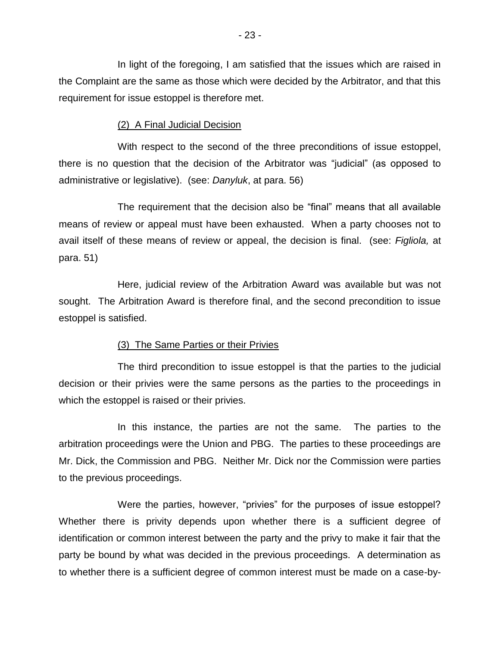In light of the foregoing, I am satisfied that the issues which are raised in the Complaint are the same as those which were decided by the Arbitrator, and that this requirement for issue estoppel is therefore met.

## (2) A Final Judicial Decision

With respect to the second of the three preconditions of issue estoppel, there is no question that the decision of the Arbitrator was "judicial" (as opposed to administrative or legislative). (see: *Danyluk*, at para. 56)

The requirement that the decision also be "final" means that all available means of review or appeal must have been exhausted. When a party chooses not to avail itself of these means of review or appeal, the decision is final. (see: *Figliola,* at para. 51)

Here, judicial review of the Arbitration Award was available but was not sought. The Arbitration Award is therefore final, and the second precondition to issue estoppel is satisfied.

#### (3) The Same Parties or their Privies

The third precondition to issue estoppel is that the parties to the judicial decision or their privies were the same persons as the parties to the proceedings in which the estoppel is raised or their privies.

In this instance, the parties are not the same. The parties to the arbitration proceedings were the Union and PBG. The parties to these proceedings are Mr. Dick, the Commission and PBG. Neither Mr. Dick nor the Commission were parties to the previous proceedings.

Were the parties, however, "privies" for the purposes of issue estoppel? Whether there is privity depends upon whether there is a sufficient degree of identification or common interest between the party and the privy to make it fair that the party be bound by what was decided in the previous proceedings. A determination as to whether there is a sufficient degree of common interest must be made on a case-by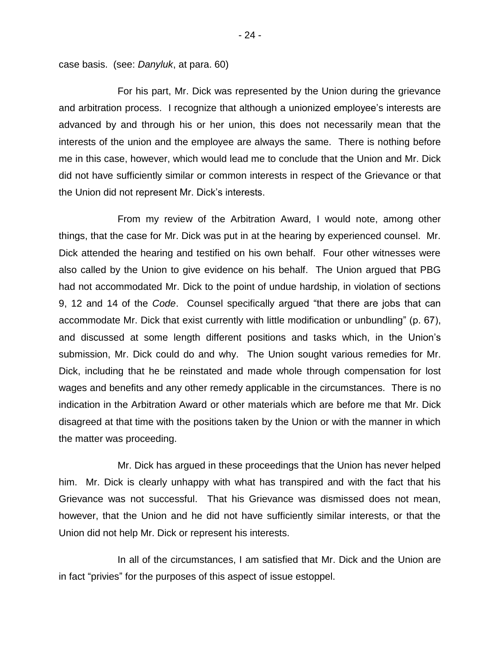case basis. (see: *Danyluk*, at para. 60)

For his part, Mr. Dick was represented by the Union during the grievance and arbitration process. I recognize that although a unionized employee's interests are advanced by and through his or her union, this does not necessarily mean that the interests of the union and the employee are always the same. There is nothing before me in this case, however, which would lead me to conclude that the Union and Mr. Dick did not have sufficiently similar or common interests in respect of the Grievance or that the Union did not represent Mr. Dick's interests.

From my review of the Arbitration Award, I would note, among other things, that the case for Mr. Dick was put in at the hearing by experienced counsel. Mr. Dick attended the hearing and testified on his own behalf. Four other witnesses were also called by the Union to give evidence on his behalf. The Union argued that PBG had not accommodated Mr. Dick to the point of undue hardship, in violation of sections 9, 12 and 14 of the *Code*. Counsel specifically argued "that there are jobs that can accommodate Mr. Dick that exist currently with little modification or unbundling" (p. 67), and discussed at some length different positions and tasks which, in the Union's submission, Mr. Dick could do and why. The Union sought various remedies for Mr. Dick, including that he be reinstated and made whole through compensation for lost wages and benefits and any other remedy applicable in the circumstances. There is no indication in the Arbitration Award or other materials which are before me that Mr. Dick disagreed at that time with the positions taken by the Union or with the manner in which the matter was proceeding.

Mr. Dick has argued in these proceedings that the Union has never helped him. Mr. Dick is clearly unhappy with what has transpired and with the fact that his Grievance was not successful. That his Grievance was dismissed does not mean, however, that the Union and he did not have sufficiently similar interests, or that the Union did not help Mr. Dick or represent his interests.

In all of the circumstances, I am satisfied that Mr. Dick and the Union are in fact "privies" for the purposes of this aspect of issue estoppel.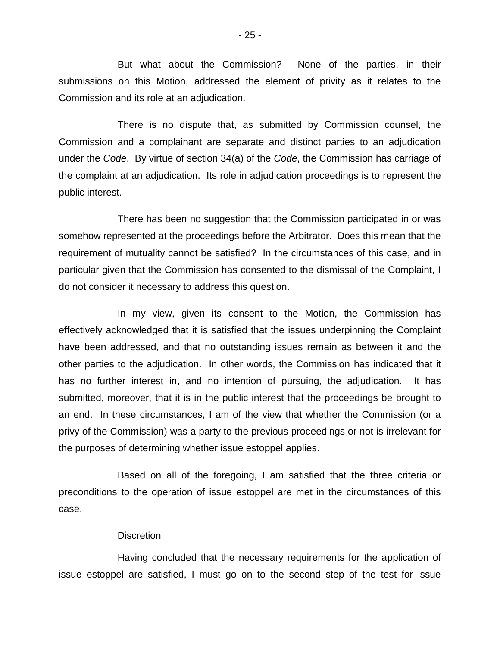But what about the Commission? None of the parties, in their submissions on this Motion, addressed the element of privity as it relates to the Commission and its role at an adjudication.

There is no dispute that, as submitted by Commission counsel, the Commission and a complainant are separate and distinct parties to an adjudication under the *Code*. By virtue of section 34(a) of the *Code*, the Commission has carriage of the complaint at an adjudication. Its role in adjudication proceedings is to represent the public interest.

There has been no suggestion that the Commission participated in or was somehow represented at the proceedings before the Arbitrator. Does this mean that the requirement of mutuality cannot be satisfied? In the circumstances of this case, and in particular given that the Commission has consented to the dismissal of the Complaint, I do not consider it necessary to address this question.

In my view, given its consent to the Motion, the Commission has effectively acknowledged that it is satisfied that the issues underpinning the Complaint have been addressed, and that no outstanding issues remain as between it and the other parties to the adjudication. In other words, the Commission has indicated that it has no further interest in, and no intention of pursuing, the adjudication. It has submitted, moreover, that it is in the public interest that the proceedings be brought to an end. In these circumstances, I am of the view that whether the Commission (or a privy of the Commission) was a party to the previous proceedings or not is irrelevant for the purposes of determining whether issue estoppel applies.

Based on all of the foregoing, I am satisfied that the three criteria or preconditions to the operation of issue estoppel are met in the circumstances of this case.

### **Discretion**

Having concluded that the necessary requirements for the application of issue estoppel are satisfied, I must go on to the second step of the test for issue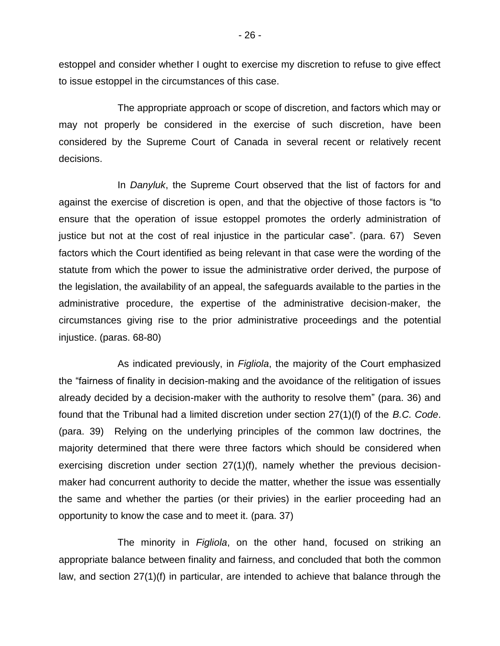estoppel and consider whether I ought to exercise my discretion to refuse to give effect to issue estoppel in the circumstances of this case.

The appropriate approach or scope of discretion, and factors which may or may not properly be considered in the exercise of such discretion, have been considered by the Supreme Court of Canada in several recent or relatively recent decisions.

In *Danyluk*, the Supreme Court observed that the list of factors for and against the exercise of discretion is open, and that the objective of those factors is "to ensure that the operation of issue estoppel promotes the orderly administration of justice but not at the cost of real injustice in the particular case". (para. 67) Seven factors which the Court identified as being relevant in that case were the wording of the statute from which the power to issue the administrative order derived, the purpose of the legislation, the availability of an appeal, the safeguards available to the parties in the administrative procedure, the expertise of the administrative decision-maker, the circumstances giving rise to the prior administrative proceedings and the potential injustice. (paras. 68-80)

As indicated previously, in *Figliola*, the majority of the Court emphasized the "fairness of finality in decision-making and the avoidance of the relitigation of issues already decided by a decision-maker with the authority to resolve them" (para. 36) and found that the Tribunal had a limited discretion under section 27(1)(f) of the *B.C. Code*. (para. 39) Relying on the underlying principles of the common law doctrines, the majority determined that there were three factors which should be considered when exercising discretion under section 27(1)(f), namely whether the previous decisionmaker had concurrent authority to decide the matter, whether the issue was essentially the same and whether the parties (or their privies) in the earlier proceeding had an opportunity to know the case and to meet it. (para. 37)

The minority in *Figliola*, on the other hand, focused on striking an appropriate balance between finality and fairness, and concluded that both the common law, and section 27(1)(f) in particular, are intended to achieve that balance through the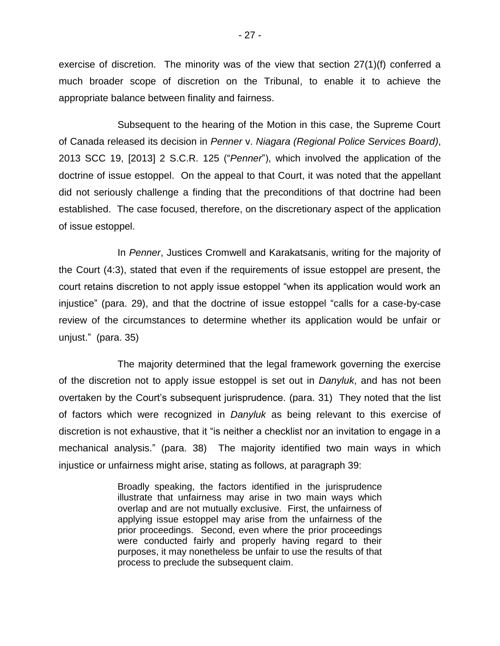exercise of discretion. The minority was of the view that section 27(1)(f) conferred a much broader scope of discretion on the Tribunal, to enable it to achieve the appropriate balance between finality and fairness.

Subsequent to the hearing of the Motion in this case, the Supreme Court of Canada released its decision in *Penner* v. *Niagara (Regional Police Services Board)*, 2013 SCC 19, [2013] 2 S.C.R. 125 ("*Penner*"), which involved the application of the doctrine of issue estoppel. On the appeal to that Court, it was noted that the appellant did not seriously challenge a finding that the preconditions of that doctrine had been established. The case focused, therefore, on the discretionary aspect of the application of issue estoppel.

In *Penner*, Justices Cromwell and Karakatsanis, writing for the majority of the Court (4:3), stated that even if the requirements of issue estoppel are present, the court retains discretion to not apply issue estoppel "when its application would work an injustice" (para. 29), and that the doctrine of issue estoppel "calls for a case-by-case review of the circumstances to determine whether its application would be unfair or unjust." (para. 35)

The majority determined that the legal framework governing the exercise of the discretion not to apply issue estoppel is set out in *Danyluk*, and has not been overtaken by the Court's subsequent jurisprudence. (para. 31) They noted that the list of factors which were recognized in *Danyluk* as being relevant to this exercise of discretion is not exhaustive, that it "is neither a checklist nor an invitation to engage in a mechanical analysis." (para. 38) The majority identified two main ways in which injustice or unfairness might arise, stating as follows, at paragraph 39:

> Broadly speaking, the factors identified in the jurisprudence illustrate that unfairness may arise in two main ways which overlap and are not mutually exclusive. First, the unfairness of applying issue estoppel may arise from the unfairness of the prior proceedings. Second, even where the prior proceedings were conducted fairly and properly having regard to their purposes, it may nonetheless be unfair to use the results of that process to preclude the subsequent claim.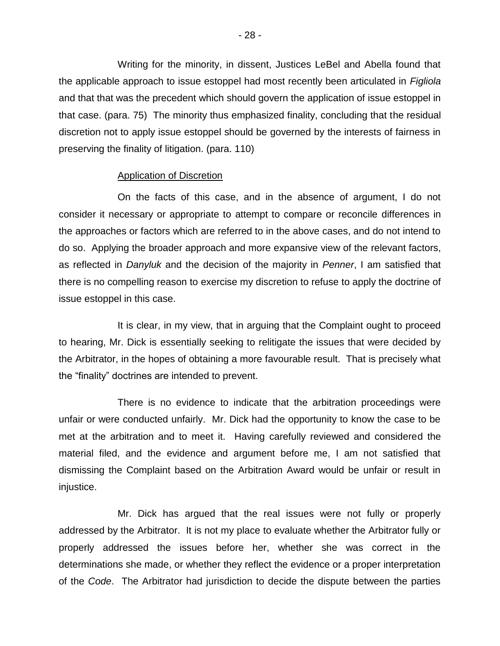Writing for the minority, in dissent, Justices LeBel and Abella found that the applicable approach to issue estoppel had most recently been articulated in *Figliola* and that that was the precedent which should govern the application of issue estoppel in that case. (para. 75) The minority thus emphasized finality, concluding that the residual discretion not to apply issue estoppel should be governed by the interests of fairness in preserving the finality of litigation. (para. 110)

#### Application of Discretion

On the facts of this case, and in the absence of argument, I do not consider it necessary or appropriate to attempt to compare or reconcile differences in the approaches or factors which are referred to in the above cases, and do not intend to do so. Applying the broader approach and more expansive view of the relevant factors, as reflected in *Danyluk* and the decision of the majority in *Penner*, I am satisfied that there is no compelling reason to exercise my discretion to refuse to apply the doctrine of issue estoppel in this case.

It is clear, in my view, that in arguing that the Complaint ought to proceed to hearing, Mr. Dick is essentially seeking to relitigate the issues that were decided by the Arbitrator, in the hopes of obtaining a more favourable result. That is precisely what the "finality" doctrines are intended to prevent.

There is no evidence to indicate that the arbitration proceedings were unfair or were conducted unfairly. Mr. Dick had the opportunity to know the case to be met at the arbitration and to meet it. Having carefully reviewed and considered the material filed, and the evidence and argument before me, I am not satisfied that dismissing the Complaint based on the Arbitration Award would be unfair or result in injustice.

Mr. Dick has argued that the real issues were not fully or properly addressed by the Arbitrator. It is not my place to evaluate whether the Arbitrator fully or properly addressed the issues before her, whether she was correct in the determinations she made, or whether they reflect the evidence or a proper interpretation of the *Code*. The Arbitrator had jurisdiction to decide the dispute between the parties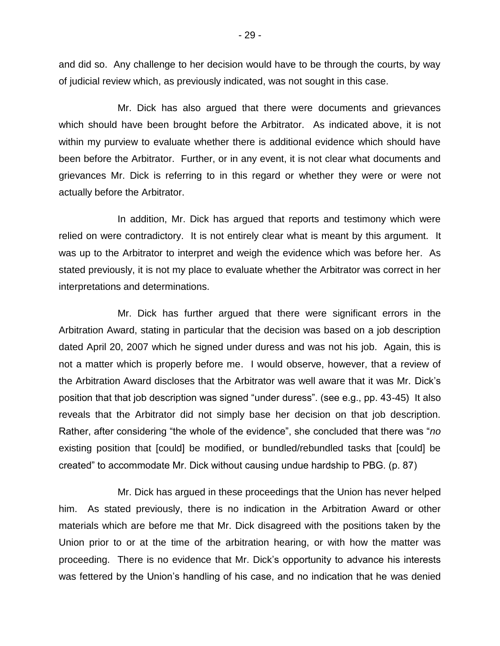and did so. Any challenge to her decision would have to be through the courts, by way of judicial review which, as previously indicated, was not sought in this case.

Mr. Dick has also argued that there were documents and grievances which should have been brought before the Arbitrator. As indicated above, it is not within my purview to evaluate whether there is additional evidence which should have been before the Arbitrator. Further, or in any event, it is not clear what documents and grievances Mr. Dick is referring to in this regard or whether they were or were not actually before the Arbitrator.

In addition, Mr. Dick has argued that reports and testimony which were relied on were contradictory. It is not entirely clear what is meant by this argument. It was up to the Arbitrator to interpret and weigh the evidence which was before her. As stated previously, it is not my place to evaluate whether the Arbitrator was correct in her interpretations and determinations.

Mr. Dick has further argued that there were significant errors in the Arbitration Award, stating in particular that the decision was based on a job description dated April 20, 2007 which he signed under duress and was not his job. Again, this is not a matter which is properly before me. I would observe, however, that a review of the Arbitration Award discloses that the Arbitrator was well aware that it was Mr. Dick's position that that job description was signed "under duress". (see e.g., pp. 43-45) It also reveals that the Arbitrator did not simply base her decision on that job description. Rather, after considering "the whole of the evidence", she concluded that there was "*no* existing position that [could] be modified, or bundled/rebundled tasks that [could] be created" to accommodate Mr. Dick without causing undue hardship to PBG. (p. 87)

Mr. Dick has argued in these proceedings that the Union has never helped him. As stated previously, there is no indication in the Arbitration Award or other materials which are before me that Mr. Dick disagreed with the positions taken by the Union prior to or at the time of the arbitration hearing, or with how the matter was proceeding. There is no evidence that Mr. Dick's opportunity to advance his interests was fettered by the Union's handling of his case, and no indication that he was denied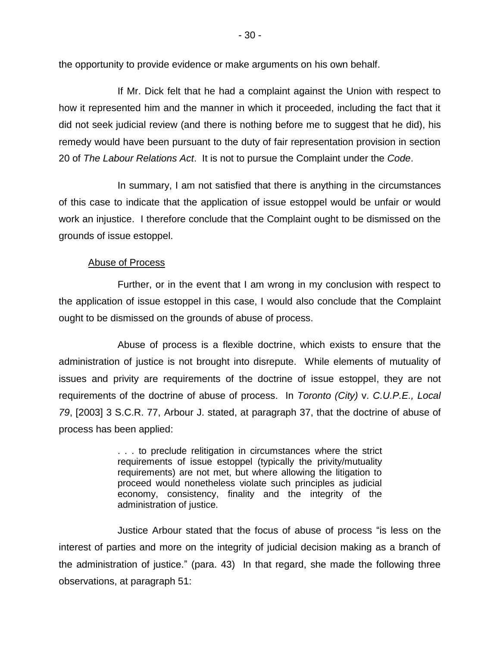the opportunity to provide evidence or make arguments on his own behalf.

If Mr. Dick felt that he had a complaint against the Union with respect to how it represented him and the manner in which it proceeded, including the fact that it did not seek judicial review (and there is nothing before me to suggest that he did), his remedy would have been pursuant to the duty of fair representation provision in section 20 of *The Labour Relations Act*. It is not to pursue the Complaint under the *Code*.

In summary, I am not satisfied that there is anything in the circumstances of this case to indicate that the application of issue estoppel would be unfair or would work an injustice. I therefore conclude that the Complaint ought to be dismissed on the grounds of issue estoppel.

## Abuse of Process

Further, or in the event that I am wrong in my conclusion with respect to the application of issue estoppel in this case, I would also conclude that the Complaint ought to be dismissed on the grounds of abuse of process.

Abuse of process is a flexible doctrine, which exists to ensure that the administration of justice is not brought into disrepute. While elements of mutuality of issues and privity are requirements of the doctrine of issue estoppel, they are not requirements of the doctrine of abuse of process. In *Toronto (City)* v. *C.U.P.E., Local 79*, [2003] 3 S.C.R. 77, Arbour J. stated, at paragraph 37, that the doctrine of abuse of process has been applied:

> . . . to preclude relitigation in circumstances where the strict requirements of issue estoppel (typically the privity/mutuality requirements) are not met, but where allowing the litigation to proceed would nonetheless violate such principles as judicial economy, consistency, finality and the integrity of the administration of justice.

Justice Arbour stated that the focus of abuse of process "is less on the interest of parties and more on the integrity of judicial decision making as a branch of the administration of justice." (para. 43) In that regard, she made the following three observations, at paragraph 51: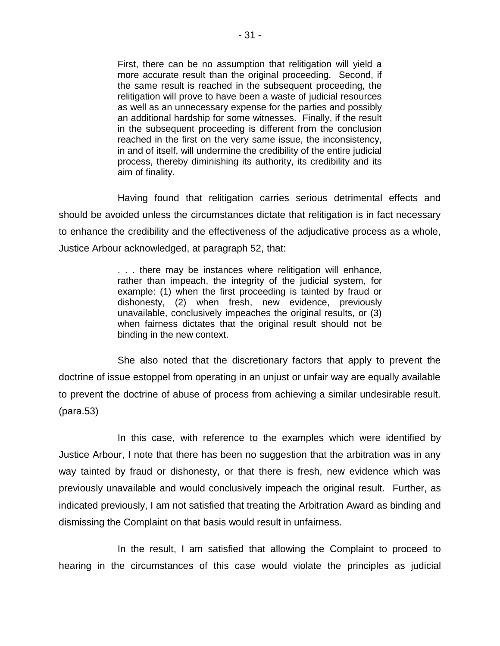First, there can be no assumption that relitigation will yield a more accurate result than the original proceeding. Second, if the same result is reached in the subsequent proceeding, the relitigation will prove to have been a waste of judicial resources as well as an unnecessary expense for the parties and possibly an additional hardship for some witnesses. Finally, if the result in the subsequent proceeding is different from the conclusion reached in the first on the very same issue, the inconsistency, in and of itself, will undermine the credibility of the entire judicial process, thereby diminishing its authority, its credibility and its aim of finality.

Having found that relitigation carries serious detrimental effects and should be avoided unless the circumstances dictate that relitigation is in fact necessary to enhance the credibility and the effectiveness of the adjudicative process as a whole, Justice Arbour acknowledged, at paragraph 52, that:

> . . . there may be instances where relitigation will enhance, rather than impeach, the integrity of the judicial system, for example: (1) when the first proceeding is tainted by fraud or dishonesty, (2) when fresh, new evidence, previously unavailable, conclusively impeaches the original results, or (3) when fairness dictates that the original result should not be binding in the new context.

She also noted that the discretionary factors that apply to prevent the doctrine of issue estoppel from operating in an unjust or unfair way are equally available to prevent the doctrine of abuse of process from achieving a similar undesirable result. (para.53)

In this case, with reference to the examples which were identified by Justice Arbour, I note that there has been no suggestion that the arbitration was in any way tainted by fraud or dishonesty, or that there is fresh, new evidence which was previously unavailable and would conclusively impeach the original result. Further, as indicated previously, I am not satisfied that treating the Arbitration Award as binding and dismissing the Complaint on that basis would result in unfairness.

In the result, I am satisfied that allowing the Complaint to proceed to hearing in the circumstances of this case would violate the principles as judicial